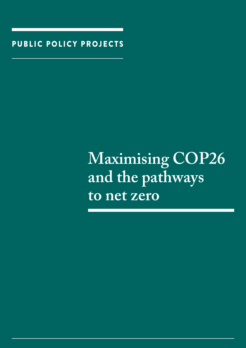PUBLIC POLICY PROJECTS

## **Maximising COP26 and the pathways to net zero**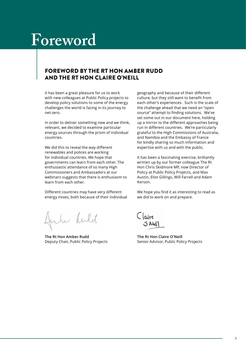## **Foreword**

## FOREWORD BY THE RT HON AMBER RUDD AND THE RT HON CLAIRE O'NEILL

It has been a great pleasure for us to work with new colleagues at Public Policy projects to develop policy solutions to some of the energy challenges the world is facing in its journey to net-zero.

In order to deliver something new and we think, relevant, we decided to examine particular energy sources through the prism of individual countries.

We did this to reveal the way different renewables and polices are working for individual countries. We hope that governments can learn from each other. The enthusiastic attendance of so many High Commissioners and Ambassadors at our webinars suggests that there is enthusiasm to learn from each other.

Different countries may have very different energy mixes, both because of their individual

the Rudd

**The Rt Hon Amber Rudd** Deputy Chair, Public Policy Projects

geography and because of their different culture, but they still want to benefit from each other's experiences. Such is the scale of the challenge ahead that we need an "open source" attempt to finding solutions. We've set some out in our document here, holding up a mirror to the different approaches being run in different countries. We're particularly grateful to the High Commissions of Australia, and Namibia and the Embassy of France for kindly sharing so much information and expertise with us and with the public.

It has been a fascinating exercise, brilliantly written up by our former colleague The Rt Hon Chris Skidmore MP, now Director of Policy at Public Policy Projects, and Max Austin, Eliot Gillings, Will Farrell and Adam Kerson.

We hope you find it as interesting to read as we did to work on and prepare.

Claire

**The Rt Hon Claire O'Neill** Senior Advisor, Public Policy Projects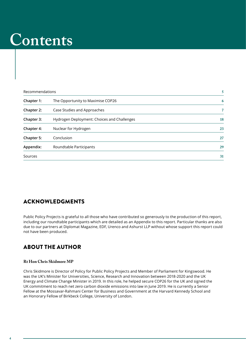## **Contents**

| Recommendations |                                             | 5              |
|-----------------|---------------------------------------------|----------------|
| Chapter 1:      | The Opportunity to Maximise COP26           | 6              |
| Chapter 2:      | Case Studies and Approaches                 | $\overline{7}$ |
| Chapter 3:      | Hydrogen Deployment: Choices and Challenges | 18             |
| Chapter 4:      | Nuclear for Hydrogen                        | 23             |
| Chapter 5:      | Conclusion                                  | 27             |
| Appendix:       | Roundtable Participants                     | 29             |
| Sources         |                                             | 31             |

## ACKNOWLEDGMENTS

Public Policy Projects is grateful to all those who have contributed so generously to the production of this report, including our roundtable participants which are detailed as an Appendix to this report. Particular thanks are also due to our partners at Diplomat Magazine, EDF, Urenco and Ashurst LLP without whose support this report could not have been produced.

## ABOUT THE AUTHOR

## **Rt Hon Chris Skidmore MP**

Chris Skidmore is Director of Policy for Public Policy Projects and Member of Parliament for Kingswood. He was the UK's Minister for Universities, Science, Research and Innovation between 2018-2020 and the UK Energy and Climate Change Minister in 2019. In this role, he helped secure COP26 for the UK and signed the UK commitment to reach net zero carbon dioxide emissions into law in June 2019. He is currently a Senior Fellow at the Mossavar-Rahmani Center for Business and Government at the Harvard Kennedy School and an Honorary Fellow of Birkbeck College, University of London.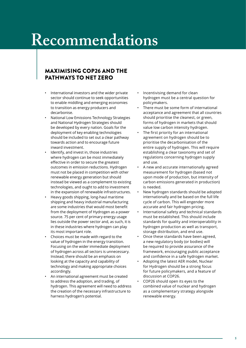## **Recommendations**

## MAXIMISING COP26 AND THE PATHWAYS TO NET ZERO

- International investors and the wider private sector should continue to seek opportunities to enable middling and emerging economies to transition as energy producers and decarbonise.
- National Low Emissions Technology Strategies and National Hydrogen Strategies should be developed by every nation. Goals for the deployment of key enabling technologies should be included to set out a clear pathway towards action and to encourage future inward investment.
- Identify, and invest in, those industries where hydrogen can be most immediately effective in order to secure the greatest outcomes in emission reductions. Hydrogen must not be placed in competition with other renewable energy generation but should instead be viewed as a complement to existing technologies, and ought to add to investment in the expansion of renewable infrastructures.
- Heavy goods shipping, long-haul maritime shipping and heavy industrial manufacturing are some industries that would most benefit from the deployment of Hydrogen as a power source. 75 per cent of primary energy usage lies outside the power sector and, as such, it is in these industries where hydrogen can play its most important role.
- Choices must be made with regard to the value of hydrogen in the energy transition. Focusing on the wider immediate deployment of hydrogen across all sectors is unnecessary. Instead, there should be an emphasis on looking at the capacity and capability of technology and making appropriate choices accordingly.
- An international agreement must be created to address the adoption, and trading, of hydrogen. This agreement will need to address the creation of the necessary infrastructure to harness hydrogen's potential.
- Incentivising demand for clean hydrogen must be a central question for policymakers.
- There must be some form of international acceptance and agreement that all countries should prioritise the cleanest, or green, forms of hydrogen in markets that should value low carbon intensity hydrogen.
- The first priority for an international agreement on hydrogen should be to prioritise the decarbonisation of the entire supply of hydrogen. This will require establishing a clear taxonomy and set of regulations concerning hydrogen supply and use.
- A new and accurate internationally agreed measurement for hydrogen (based not upon mode of production, but intensity of carbon emissions generated in production) is needed.
- New hydrogen standards should be adopted internationally and be based on the full life cycle of carbon. This will engender more accurate and fair hydrogen pricing.
- International safety and technical standards must be established. This should include standards for quality and interoperability in hydrogen production as well as transport, storage distribution, and end use.
- Once these standards have been agreed, a new regulatory body (or bodies) will be required to provide assurance of the framework, encouraging public acceptance and confidence in a safe hydrogen market.
- Adopting the latest AER model, Nuclear for Hydrogen should be a strong focus for future policymakers, and a feature of discussion at COP26.
- COP26 should open its eyes to the combined value of nuclear and hydrogen as a complementary strategy alongside renewable energy.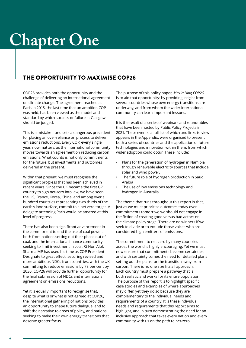## **Chapter One**

## THE OPPORTUNITY TO MAXIMISE COP26

COP26 provides both the opportunity and the challenge of delivering an international agreement on climate change. The agreement reached at Paris in 2015, the last time that an ambition COP was held, has been viewed as the model and standard by which success or failure at Glasgow should be judged.

This is a mistake – and sets a dangerous precedent for placing an over-reliance on process to deliver emissions reductions. Every COP, every single year, now matters, as the international community moves towards an agreement on reducing carbon emissions. What counts is not only commitments for the future, but investments and outcomes delivered in the present.

Within that present, we must recognise the significant progress that has been achieved in recent years. Since the UK became the first G7 country to sign net-zero into law, we have seen the US, France, Korea, China, and among over a hundred countries representing two thirds of the earth's land surface, commit to a net zero target. A delegate attending Paris would be amazed at this level of progress.

There has also been significant advancement in the commitment to end the use of coal power, both from nations setting out their phase out of coal, and the international finance community seeking to limit investment in coal. Rt Hon Alok Sharma MP has used his time as COP President Designate to great effect, securing revised and more ambitious NDCs from countries, with the UK committing to reduce emissions by 78 per cent by 2030. COP26 will provide further opportunity for the final submission of NDCs and international agreement on emissions reductions.

Yet it is equally important to recognise that, despite what is or what is not agreed at COP26, the international gathering of nations provides an opportunity to shape future dialogue, and to shift the narrative to areas of policy, and nations seeking to make their own energy transitions that deserve greater focus.

The purpose of this policy paper, *Maximising COP26*, is to aid that opportunity: by providing insight from several countries whose own energy transitions are underway, and from whom the wider international community can learn important lessons.

It is the result of a series of webinars and roundtables that have been hosted by Public Policy Projects in 2021. These events, a full list of which and links to view appears in the Appendix, were organised to present both a series of countries and the application of future technologies and innovation within them, from which wider adoption could occur. These include:

- Plans for the generation of hydrogen in Namibia through renewable electricity sources that include solar and wind power.
- The future role of hydrogen production in Saudi Arabia
- The use of low emissions technology and hydrogen in Australia

The theme that runs throughout this report is that, just as we must prioritise outcomes today over commitments tomorrow, we should not engage in the fiction of creating good versus bad actors on the climate policy stage. There are no winners if we seek to divide or to exclude those voices who are considered high emitters of emissions.

The commitment to net-zero by many countries across the world is highly encouraging. Yet we must now ensure that commitments become certainties; and with certainty comes the need for detailed plans setting out the plans for the transition away from carbon. There is no one size fits all approach. Each country must prepare a pathway that is both realistic and works for its entire population. The purpose of this report is to highlight specific case studies and examples of where approaches may differ, yet they do so because they are complementary to the individual needs and requirements of a country. It is these individual needs and requirements that this report aims to highlight, and in turn demonstrating the need for an inclusive approach that takes every nation and every community with us on the path to net-zero.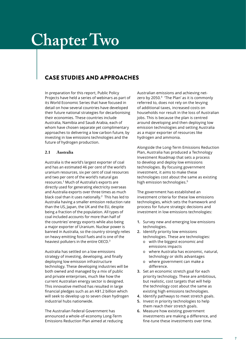## **Chapter Two**

## CASE STUDIES AND APPROACHES

In preparation for this report, Public Policy Projects have held a series of webinars as part of its World Economic Series that have focused in detail on how several countries have developed their future national strategies for decarbonising their economies. These countries include Australia, Namibia and Saudi Arabia, each of whom have chosen separate yet complimentary approaches to delivering a low carbon future, by investing in low emissions technologies and the future of hydrogen production.

### **2.1 Australia**

Australia is the world's largest exporter of coal and has an estimated 46 per cent of the world's uranium resources, six per cent of coal resources and two per cent of the world's natural gas resources.<sup>1</sup> Much of Australia's exports are directly used for generating electricity overseas and Australia exports over three times as much black coal than it uses nationally.<sup>2</sup> This has led to Australia having a smaller emission reduction rate than the US, Japan, the UK and the EU, despite being a fraction of the population. All types of coal included accounts for more than half of the countries' energy exports while also being a major exporter of Uranium. Nuclear power is banned in Australia, so the country strongly relies on heavy emitting fossil fuels and is one of the heaviest polluters in the entire OECD.<sup>3</sup>

Australia has settled on a low emissions strategy of investing, developing, and finally deploying low emission infrastructure technology. These developing industries will be both owned and managed by a mix of public and private enterprises, much like how the current Australian energy sector is designed. This innovative method has resulted in large financial pledges such as an A\$1.2 billion which will seek to develop up to seven clean hydrogen industrial hubs nationwide.

The Australian Federal Government has announced a whole-of-economy Long-Term Emissions Reduction Plan aimed at reducing Australian emissions and achieving netzero by 2050.<sup>4</sup> 'The Plan' as it is commonly referred to, does not rely on the levying of additional taxes, increased costs on households nor result in the loss of Australian jobs. This is because the plan is centred around developing and then deploying low emission technologies and setting Australia as a major exporter of resources like hydrogen and ammonia.

Alongside the Long-Term Emissions Reduction Plan, Australia has produced a Technology Investment Roadmap that sets a process to develop and deploy low emissions technologies. By focusing government investment, it aims to make these technologies cost about the same as existing high emission technologies.<sup>5</sup>

The government has established an investment criteria for these low emissions technologies, which sets the framework and process for future strategic decisions and investment in low emissions technologies:

- **1.** Survey new and emerging low emissions technologies.
- **2.** Identify priority low emissions technologies. These are technologies:
	- o with the biggest economic and emissions impacts
	- o where Australia has economic, natural, technology or skills advantages
	- o where government can make a difference.
- **3.** Set an economic stretch goal for each priority technology. These are ambitious, but realistic, cost targets that will help the technology cost about the same as existing high emissions technologies.
- **4.** Identify pathways to meet stretch goals.
- **5.** Invest in priority technologies to help them reach their stretch goals.
- **6.** Measure how existing government investments are making a difference, and fine-tune these investments over time.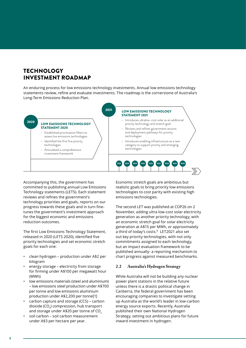## **TECHNOLOGY** INVESTMENT ROADMAP

An enduring process for low emissions technology investments. Annual low emissions technology statements review, refine and evaluate investments. The roadmap is the cornerstone of Australia's Long-Term Emissions Reduction Plan.



Accompanying this, the government has committed to publishing annual Low Emissions Technology statements (LETS). Each statement reviews and refines the government's technology priorities and goals, reports on our progress towards these goals and in turn finetunes the government's investment approach for the biggest economic and emissions reduction outcomes.

The first Low Emissions Technology Statement, released in 2020 (LETS 2020), identified five priority technologies and set economic stretch goals for each one:

- clean hydrogen production under A\$2 per kilogram
- energy storage electricity from storage for firming under A\$100 per megawatt hour (MWh)
- low emissions materials (steel and aluminium) – low emissions steel production under A\$700 per tonne and low emissions aluminium production under A\$2,200 per tonne[1]
- carbon capture and storage (CCS) carbon dioxide (CO2) compression, hub transport and storage under A\$20 per tonne of CO<sub>2</sub>
- soil carbon soil carbon measurement under A\$3 per hectare per year.

Economic stretch goals are ambitious but realistic goals to bring priority low emissions technologies to cost parity with existing high emissions technologies.

The second LET was published at COP26 on 2 November, adding ultra low-cost solar electricity generation as another priority technology, with an economic stretch goal for solar electricity generation at A\$15 per MWh, or approximately a third of today's costs.<sup>6</sup> LET2021 also set out key priority technologies, with not only commitments assigned to each technology, but an impact evaluation framework to be published annually- a reporting mechanism to chart progress against measured benchmarks.

### **2.2 Australia's Hydrogen Strategy**

While Australia will not be building any nuclear power plant stations in the relative future unless there is a drastic political change in Canberra, the federal government has been encouraging companies to investigate setting up Australia as the world's leader in low-carbon energy source exports. Recently, Australia published their own National Hydrogen Strategy, setting out ambitious plans for future inward investment in hydrogen.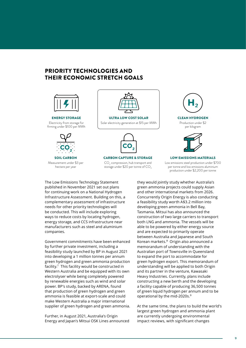## PRIORITY TECHNOLOGIES AND THEIR ECONOMIC STRETCH GOALS



ENERGY STORAGE Electricity from storage for firming under \$100 per MWh



SOIL CARBON Measurement under \$3 per hectare per year



CARBON CAPTURE & STORAGE  $\mathsf{CO}_2$  compression, hub transport and storage under \$20 per tonne of  $CO<sub>2</sub>$ 





LOW EMISSIONS MATERIALS Low emissions steel production under \$700 per tonne and low emissions aluminium production under \$2,200 per tonne

The Low Emissions Technology Statement published in November 2021 set out plans for continuing work on a National Hydrogen Infrastructure Assessment. Building on this, a complementary assessment of infrastructure needs for other priority technologies will be conducted. This will include exploring ways to reduce costs by locating hydrogen, energy storage, and CCS infrastructure near manufacturers such as steel and aluminium companies.

Government commitments have been enhanced by further private investment, including a feasibility study launched by BP in August 2021 into developing a 1 million tonnes per annum green hydrogen and green ammonia production facility.<sup>7</sup> This facility would be constructed in Western Australia and be equipped with its own electrolyser while being completely powered by renewable energies such as wind and solar power. BP's study, backed by ARENA, found that production of green hydrogen and green ammonia is feasible at export-scale and could make Western Australia a major international supplier of green hydrogen and green ammonia.

Further, in August 2021, Australia's Origin Energy and Japan's Mitsui OSK Lines announced they would jointly study whether Australia's green ammonia projects could supply Asian and other international markets from 2026. Concurrently Origin Energy is also conducting a feasibility study worth A\$3.2 million into developing green ammonia in Bell Bay, Tasmania. Mitsui has also announced the construction of two large carriers to transport both LNG and ammonia. The vessels will be able to be powered by either energy source and are expected to primarily operate between Australia and Japanese and South Korean markets.<sup>8</sup> Origin also announced a memorandum of understanding with the Australian port of Townsville in Queensland to expand the port to accommodate for green hydrogen export. This memorandum of understanding will be applied to both Origin and its partner in the venture, Kawasaki Heavy Industries. Currently, plans include constructing a new berth and the developing a facility capable of producing 36,500 tonnes of green liquid hydrogen per annum and to be operational by the mid-2020s.<sup>9</sup>

At the same time, the plans to build the world's largest green hydrogen and ammonia plant are currently undergoing environmental impact reviews, with significant changes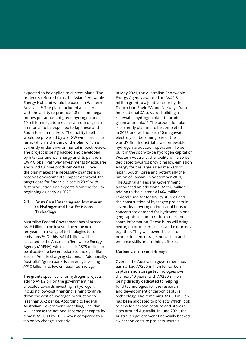expected to be applied to current plans. The project is referred to as the Asian Renewable Energy Hub and would be based in Western Australia.<sup>10</sup> The plans included a facility with the ability to produce 1.8 million mega tonnes per annum of green hydrogen and 10 million mega tonnes per annum of green ammonia, to be exported to Japanese and South Korean markets. The facility itself would be powered by a 26GW wind and solar farm, which is the part of the plan which is currently under environmental impact review. The project is being backed and developed by InterContinental Energy and its partners - CWP Global, Pathway Investments (Macquarie) and wind turbine producer Vestas. Once the plan makes the necessary changes and receives environmental impact approval, the target date for financial close is 2025 with first production and exports from the facility beginning as early as 2027.

### **2.3 Australian Financing and Investment in Hydrogen and Low Emissions Technology**

Australian Federal Government has allocated A\$18 billion to be invested over the next ten years on a range of technologies to cut emissions.<sup>11</sup> Of this, A\$1.4 billion will be allocated to the Australian Renewable Energy Agency (ARENA), with a specific A\$75 million to be allocated to low emission technologies like Electric Vehicle charging stations.<sup>12</sup> Additionally, Australia's 'green bank' is currently investing A\$10 billion into low emission technology.

The grants specifically for hydrogen projects add to A\$1.2 billion the government has allocated towards investing in hydrogen, including low-cost financing, aiming to drive down the cost of hydrogen production to less than A\$2 per kg. According to Federal Australian Government modelling, The Plan will increase the national income per capita by almost A\$2000 by 2050, when compared to a 'no policy change' scenario.

In May 2021, the Australian Renewable Energy Agency awarded an A\$42.5 million grant to a joint venture by the French firm Engie SA and Norway's Yara International SA towards building a renewable hydrogen plant to produce green ammonia. $13$  The production plant is currently planned to be completed in 2023 and will house a 10 megawatt electrolyser, becoming one of the world's first industrial-scale renewable hydrogen production operation. To be built in the soon-to-be hydrogen capital of Western Australia, the facility will also be dedicated towards providing low-emission energy for the large Asian markets of Japan, South Korea and potentially the nation of Taiwan. In September 2021, The Australian Federal Government announced an additional A\$150 million, adding to the current A\$464 million Federal fund for feasibility studies and the construction of hydrogen projects in seven clean hydrogen industrial hubs to concentrate demand for hydrogen in one geographic region to reduce costs and share information. These hubs will bring hydrogen producers, users and exporters together. They will lower the cost of production, encourage innovation and enhance skills and training efforts.

#### **Carbon Capture and Storage**

Overall, the Australian government has earmarked A\$300 million for carbon capture and storage technologies over the next 10 years, with A\$250million being directly dedicated to helping fund technologies for the research and development of carbon capture technology. The remaining A\$850 million has been allocated to projects which look to develop carbon capture and storage sites around Australia. In June 2021, the Australian government financially backed six carbon capture projects worth a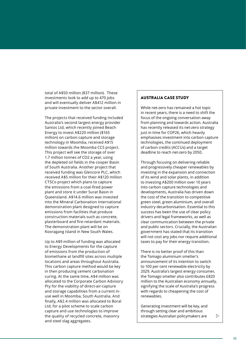total of A\$50 million (\$37 million). These investments look to add up to 470 jobs and will eventually deliver A\$412 million in private investment to the sector overall.

The projects that received funding included Australia's second largest energy provider Santos Ltd, which recently joined Beach Energy to invest A\$220 million (\$165 million) on carbon capture and storage technology in Moomba, received A\$15 million towards the Moomba CCS project. This project will see the storage of over 1.7 million tonnes of CO2 a year, using the depleted oil fields in the cooper Basin of South Australia. Another project that received funding was Glencore PLC, which received A\$5 million for their A\$120 million CTSCo project which plans to capture the emissions from a coal-fired power plant and store it under Surat Basin in Queensland. A\$14.6 million was invested into the Mineral Carbonation International demonstration plant designed to capture emissions from facilities that produce construction materials such as concrete, plasterboard and fire-retardant materials. The demonstration plant will be on Kooragang Island in New South Wales.

Up to A\$9 million of funding was allocated to Energy Developments for the capture of emissions from the production of biomethane at landfill sites across multiple locations and areas throughout Australia. This carbon capture method would be key in then producing cement carbonation curing. At the same time, A\$4 million was allocated to the Corporate Carbon Advisory Pty for the viability of direct-air-capture and storage capabilities from a current inuse well in Moomba, South Australia. And finally, A\$2.4 million was allocated to Boral Ltd, for a pilot scheme to scale carbon capture and use technologies to improve the quality of recycled concrete, masonry and steel slag aggregates.

### AUSTRALIA CASE STUDY

While net-zero has remained a hot topic in recent years, there is a need to shift the focus of the ongoing conversation away from planning and towards action. Australia has recently released its net-zero strategy just in time for COP26, which heavily emphasises investment into carbon capture technologies, the continued deployment of carbon credits (ACCUs) and a target deadline to reach net-zero by 2050.

Through focusing on delivering reliable and progressively cheaper renewables by investing in the expansion and connection of its wind and solar plants, in addition to investing A\$200 million over 10 years into carbon capture technologies and developments, Australia has driven down the cost of the transition to competitive green steel, green aluminium, and overall industry decarbonisation. Essential to this success has been the use of clear policy drivers and legal frameworks, as well as clear communication between the private and public sectors. Crucially, the Australian government has stated that its transition will not cost any jobs nor require additional taxes to pay for their energy transition.

There is no better proof of this than the Tomago aluminium smelter's announcement of its intention to switch to 100 per cent renewable electricity by 2029. Australia's largest energy consumer, the Tomago smelter also contributes £820 million to the Australian economy annually, signifying the scale of Australia's progress with regards to cheapening the cost of renewables.

Generating investment will be key, and through setting clear and ambitious strategies Australian policymakers are  $\mathcal{D}$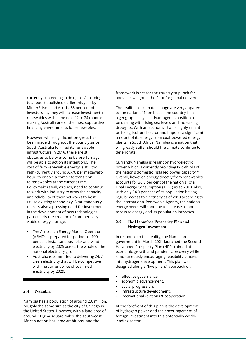currently succeeding in doing so. According to a report published earlier this year by MinterEllison and Acuris, 65 per cent of investors say they will increase investment in renewables within the next 12 to 24 months, making Australia one of the most supportive financing environments for renewables.

However, while significant progress has been made throughout the country since South Australia fortified its renewable infrastructure in 2016, there are still obstacles to be overcome before Tomago will be able to act on its intentions. The cost of firm renewable energy is still too high (currently around A\$70 per megawatthour) to enable a complete transition to renewables at the current time. Policymakers will, as such, need to continue to work with industry to grow the capacity and reliability of their networks to best utilise existing technology. Simultaneously, there is also a pressing need for investment in the development of new technologies, particularly the creation of commercially viable energy storage.

- The Australian Energy Market Operator (AEMO) is prepared for periods of 100 per cent instantaneous solar and wind electricity by 2025 across the whole of the national electricity grid.
- Australia is committed to delivering 24/7 clean electricity that will be competitive with the current price of coal-fired electricity by 2029.

### **2.4 Namibia**

Namibia has a population of around 2.6 million, roughly the same size as the city of Chicago in the United States. However, with a land area of around 317,874 square miles, the south-east African nation has large ambitions, and the

framework is set for the country to punch far above its weight in the fight for global net-zero.

The realities of climate change are very apparent to the nation of Namibia, as the country is in a geographically disadvantageous position to be dealing with rising sea levels and increasing droughts. With an economy that is highly reliant on its agricultural sector and imports a significant amount of its energy from coal-powered energy plants in South Africa, Namibia is a nation that will greatly suffer should the climate continue to deteriorate.

Currently, Namibia is reliant on hydroelectric power, which is currently providing two-thirds of the nation's domestic installed power capacity. $14$ Overall, however, energy directly from renewables accounts for 30.3 per cent of the nation's Total Final Energy Consumption (TFEC) as so 2018. Also, with only 54.0 per cent of its population having regular access to electricity as of 2018 according to the International Renewable Agency, the nation's energy needs will continue to increase as both access to energy and its population increases.

### **2.5 The Harambee Prosperity Plan and Hydrogen Investment**

In response to this reality, the Namibian government in March 2021 launched the Second Harambee Prosperity Plan (HPPII) aimed at economic growth and pandemic recovery while simultaneously encouraging feasibility studies into hydrogen development. This plan was designed along a "five pillars" approach of:

- effective governance.
- economic advancement.
- social progression.
- infrastructure development.
- international relations & cooperation.

At the forefront of this plan is the development of hydrogen power and the encouragement of foreign investment into this potentially worldleading sector.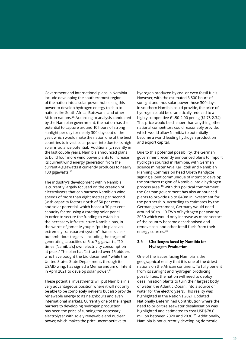Government and international plans in Namibia include developing the southernmost region of the nation into a solar power hub, using this power to develop hydrogen energy to ship to nations like South Africa, Botswana, and other African nations.<sup>15</sup> According to analysis conducted by the Namibian government, the nation has the potential to capture around 10 hours of strong sunlight per day for nearly 300 days out of the year, which would make the nation one of the best countries to invest solar power into due to its high solar irradiance potential. Additionally, recently in the last couple years, Namibia announced plans to build four more wind power plants to increase its current wind energy generation from the current 4 gigawatts it currently produces to nearly 100 gigawatts.<sup>16</sup>

The industry's development within Namibia is currently largely focused on the creation of electrolysers that can harness Namibia's wind speeds of more than eight metres per second (with capacity factors north of 50 per cent) and solar potential, which boast a 30 per cent capacity factor using a rotating solar panel. In order to secure the funding to establish the necessary infrastructure Namibia has, in the words of James Mynupe, "put in place an extremely transparent system" that sets clear but ambitious targets – including the target of generating capacities of 5 to 7 gigawatts, "10 times [Namibia's] own electricity consumption at peak." The plan has "attracted over 15 bidders who have bought the bid document," while the United States State Department, through its USAID wing, has signed a Memorandum of Intent in April 2021 to develop solar power. $17$ 

These potential investments will put Namibia in a very advantageous position where it will not only be able to be completely net-zero but also provide renewable energy to its neighbours and even international markets. Currently one of the largest barriers to developing hydrogen production has been the price of running the necessary electrolyser with solely renewable and nuclear power, which makes the price uncompetitive to

hydrogen produced by coal or even fossil fuels. However, with the estimated 3,500 hours of sunlight and thus solar power those 300 days in southern Namibia could provide, the price of hydrogen could be dramatically reduced to a highly competitive €1.50-2.00 per kg (\$1.76-2.34). This price would be cheaper than anything other national competitors could reasonably provide, which would allow Namibia to potentially become a world leading hydrogen production and export capital.

Due to this potential possibility, the German government recently announced plans to import hydrogen sourced in Namibia, with German science minister Anja Karliczek and Namibian Planning Commission head Obeth Kandjoze signing a joint communique of intent to develop the southern region of Namibia into a hydrogen process area.<sup>18</sup> With this political commitment, the German government has also announced plants to provide up to €40m in investment for the partnership. According to estimates by the German government, Germany would need around 90 to 110 TWh of hydrogen per year by 2030 which would only increase as more sectors of the country become decarbonised and remove coal and other fossil fuels from their energy sources.<sup>19</sup>

#### **2.6 Challenges faced by Namibia for Hydrogen Production**

One of the issues facing Namibia is the geographical reality that it is one of the driest nations on the African continent. To fully benefit from its sunlight and hydrogen producing possibilities, the nation will need to deploy desalinisation plants to turn their largest body of water, the Atlantic Ocean, into a source of water for the electrolysers. This reality was highlighted in the Nation's 2021 Updated Nationally Determined Contribution where the need to prioritize seawater desalinisation was highlighted and estimated to cost USD\$78.6 million between 2020 and 2030.<sup>20</sup> Additionally, Namibia is not currently developing domestic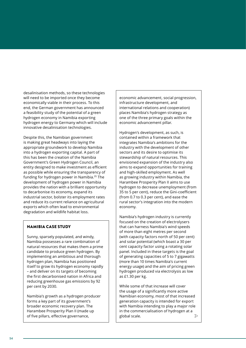desalinisation methods, so these technologies will need to be imported once they become economically viable in their process. To this end, the German government has announced a feasibility study of the potential of a green hydrogen economy in Namibia exporting hydrogen energy to Germany which will include innovative desalinisation technologies.

Despite this, the Namibian government is making great headways into laying the appropriate groundwork to develop Namibia into a hydrogen exporting capital. A part of this has been the creation of the Namibia Government's Green Hydrogen Council, an entity designed to make investment as efficient as possible while ensuring the transparency of funding for hydrogen power in Namibia.<sup>21</sup> The development of hydrogen power in Namibia provides the nation with a brilliant opportunity to decarbonise its economy, expand its industrial sector, bolster its employment rates and reduce its current reliance on agricultural exports which often lead to environmental degradation and wildlife habitat loss.

### NAMIBIA CASE STUDY

Sunny, sparsely populated, and windy, Namibia possesses a rare combination of natural resources that makes them a prime candidate to produce green hydrogen. By implementing an ambitious and thorough hydrogen plan, Namibia has positioned itself to grow its hydrogen economy rapidly – and deliver on its targets of becoming the first decarbonised nation in Africa and reducing greenhouse gas emissions by 92 per cent by 2030.

Namibia's growth as a hydrogen producer forms a key part of its government's broader economic recovery plan. The Harambee Prosperity Plan II (made up of five pillars, effective governance,

economic advancement, social progression, infrastructure development, and international relations and cooperation) places Namibia's hydrogen strategy as one of the three primary goals within the economic advancement pillar.

Hydrogen's development, as such, is contained within a framework that integrates Namibia's ambitions for the industry with the development of other sectors and its desire to optimise its stewardship of natural resources. This envisioned expansion of the industry also aims to expand opportunities for training and high-skilled employment. As well as growing industry within Namibia, the Harambee Prosperity Plan II aims to use hydrogen to decrease unemployment (from 35 to 5 per cent), reduce the Gini-coefficient (from 0.7 to 0.3 per cent), and ease the rural sector's integration into the modern economy.

Namibia's hydrogen industry is currently focused on the creation of electrolysers that can harness Namibia's wind speeds of more than eight metres per second (with capacity factors north of 50 per cent) and solar potential (which boast a 30 per cent capacity factor using a rotating solar panel. Included in these targets is the goal of generating capacities of 5 to 7 gigawatts (more than 10 times Namibia's current energy usage) and the aim of pricing green hydrogen produced via electrolysis as low as £1.30 per kg.

While some of that increase will cover the usage of a significantly more active Namibian economy, most of that increased generation capacity is intended for export with Namibia intending to play a major role in the commercialisation of hydrogen at a global scale.  $\mathcal{D}$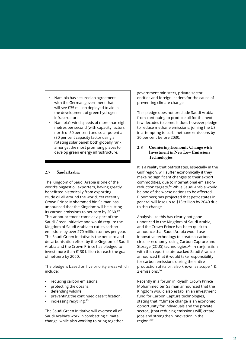• Namibia has secured an agreement with the German government that will see £35 million deployed to aid in the development of green hydrogen infrastructure.

• Namibia's wind speeds of more than eight metres per second (with capacity factors north of 50 per cent) and solar potential (30 per cent capacity factor using a rotating solar panel) both globally rank amongst the most promising places to develop green energy infrastructure.

### **2.7 Saudi Arabia**

The Kingdom of Saudi Arabia is one of the world's biggest oil exporters, having greatly benefitted historically from exporting crude oil all around the world. Yet recently Crown Prince Mohammed bin Salman has announced that the Kingdom will be cutting its carbon emissions to net-zero by 2060.<sup>22</sup> This announcement came as a part of the Saudi Green Initiative and would require the Kingdom of Saudi Arabia to cut its carbon emissions by over 270 million tonnes per year. The Saudi Green Initiative is the net-zero and decarbonisation effort by the Kingdom of Saudi Arabia and the Crown Prince has pledged to invest more than £130 billion to reach the goal of net-zero by 2060.

The pledge is based on five priority areas which include:

- reducing carbon emissions.
- protecting the oceans.
- defending wildlife.
- preventing the continued desertification.
- $\overline{a}$  increasing recycling.<sup>23</sup>

The Saudi Green Initiative will oversee all of Saudi Arabia's work in combatting climate change, while also working to bring together government ministers, private sector entities and foreign leaders for the cause of preventing climate change.

This pledge does not preclude Saudi Arabia from continuing to produce oil for the next few decades to come. It does however pledge to reduce methane emissions, joining the US in attempting to curb methane emissions by 30 per cent before 2030.

### **2.8 Countering Economic Change with Investment in New Low Emissions Technologies**

It is a reality that petrostates, especially in the Gulf region, will suffer economically if they make no significant changes to their export commodities, due to international emissionreduction targets.<sup>24</sup> While Saudi Arabia would be one of the worse nations to be affected, Bloomberg has projected that petrostates in general will lose up to \$13 trillion by 2040 due to this change.

Analysis like this has clearly not gone unnoticed in the Kingdom of Saudi Arabia, and the Crown Prince has been quick to announce that Saudi Arabia would use innovative technology to create a 'carbon circular economy' using Carbon Capture and Storage (CCUS) technologies.<sup>25</sup> In conjunction with this report, state-backed Saudi Aramco announced that it would take responsibility for carbon emissions during the entire production of its oil, also known as scope 1 & 2 emissions.<sup>26</sup>

Recently in a forum in Riyadh Crown Prince Mohammed bin Salman announced that the Kingdom would also establish an investment fund for Carbon Capture technologies, stating that, "Climate change is an economic opportunity for individuals and the private sector...[that reducing emissions will] create jobs and strengthen innovation in the region."<sup>27</sup>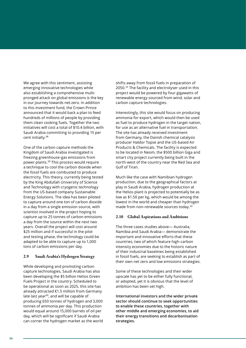We agree with this sentiment, assisting emerging innovative technologies while also establishing a comprehensive multipronged attack on global emissions is the key in our journey towards net-zero. In addition to this investment fund, the Crown Prince announced that it would back a plan to feed hundreds of millions of people by providing them clean cooking fuels. Together the two initiatives will cost a total of \$10.4 billion, with Saudi Arabia committing to providing 15 per cent initially.<sup>28</sup>

One of the carbon capture methods the Kingdom of Saudi Arabia investigated is freezing greenhouse-gas emissions from power plants.<sup>29</sup> This process would require a technique to cool the carbon dioxide when the fossil fuels are combusted to produce electricity. This theory, currently being tested by the King Abdullah University of Science and Technology with cryogenic technology from the US-based company Sustainable Energy Solutions. The idea has been piloted to capture around one ton of carbon dioxide in a day from a single emission source, with scientist involved in the project hoping to capture up to 25 tonnes of carbon emissions a day from the source within the next two years. Overall the project will cost around \$25 million and if successful in the pilot and testing phase, the technology could be adapted to be able to capture up to 1,000 tons of carbon emissions per day.

#### **2.9 Saudi Arabia's Hydrogen Strategy**

While developing and promoting carbon capture technologies, Saudi Arabia has also been developing the \$5 billion Helios Green Fuels Project in the country. Scheduled to be operational as soon as 2025, this site has already attracted €1.5 million from Germany late last year<sup>30</sup>, and will be capable of producing 650 tonnes of hydrogen and 3,000 tonnes of ammonia per day. This production would equal around 15,000 barrels of oil per day, which will be significant if Saudi Arabia can corner the hydrogen market as the world shifts away from fossil fuels in preparation of 2050.<sup>31</sup> The facility and electrolyser used in this project would be powered by four gigawatts of renewable energy sourced from wind, solar and carbon capture technologies.

Interestingly, this site would focus on producing ammonia for export, which would then be used as fuel to produce hydrogen in the target nation, for use as an alternative fuel in transportation. The site has already received investment from Germany, the Danish chemical catalysis producer Haldor Topse and the US-based Air Products & Chemicals. The facility is expected to be located in Neom, the \$500 billion Giga and smart city project currently being built in the north-west of the country near the Red Sea and Gulf of Tiran.

Much like the case with Namibian hydrogen production, due to the geographical factors at play in Saudi Arabia, hydrogen production at the Helios plant is projected to potentially be as low as \$1.50 per kg, which would be among the lowest in the world and cheaper than hydrogen made from non-renewable sources today.<sup>32</sup>

#### **2.10 Global Aspirations and Ambitions**

The three cases studies above— Australia, Namibia and Saudi Arabia— demonstrate the important and innovative efforts that these countries, two of which feature high-carbon intensity economies due to the historic nature of their industrial baselines being established in fossil fuels, are seeking to establish as part of their own net zero and low emissions strategies.

Some of these technologies and their wider upscale has yet to be either fully functional, or adopted, yet it is obvious that the level of ambition has been set high.

**International investors and the wider private sector should continue to seek opportunities to enable these countries, together with other middle and emerging economies, to aid their energy transitions and decarbonisation strategies.**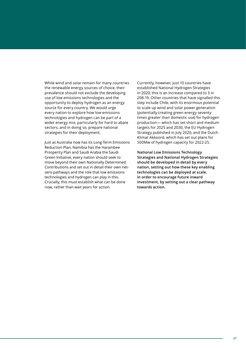While wind and solar remain for many countries the renewable energy sources of choice, their prevalence should not exclude the developing use of low emissions technologies and the opportunity to deploy hydrogen as an energy source for every country. We would urge every nation to explore how low emissions technologies and hydrogen can be part of a wider energy mix, particularly for hard to abate sectors, and in doing so, prepare national strategies for their deployment.

Just as Australia now has its Long-Term Emissions Reduction Plan, Namibia has the Harambee Prosperity Plan and Saudi Arabia the Saudi Green Initiative, every nation should seek to move beyond their own Nationally Determined Contributions and set out in detail their own netzero pathways and the role that low emissions technologies and hydrogen can play in this. Crucially, this must establish what can be done now, rather than wait years for action.

Currently, however, just 10 countries have established National Hydrogen Strategies in 2020; this is an increase compared to 3 in 208-19. Other countries that have signalled this step include Chile, with its enormous potential to scale up wind and solar power generation (potentially creating green energy seventy times greater than domestic use) for hydrogen production— which has set short and medium targets for 2025 and 2030, the EU Hydrogen Strategy published in July 2020, and the Dutch Klimat Akkoord, which has set out plans for 500Mw of hydrogen capacity for 2022-25.

**National Low Emissions Technology Strategies and National Hydrogen Strategies should be developed in detail by every nation, setting out how these key enabling technologies can be deployed at scale, in order to encourage future inward investment, by setting out a clear pathway towards action.**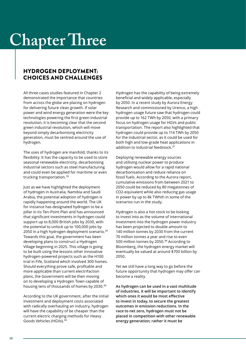# **Chapter Three**

## HYDROGEN DEPLOYMENT: CHOICES AND CHALLENGES

All three cases studies featured in Chapter 2 demonstrated the importance that countries from across the globe are placing on hydrogen for delivering future clean growth. If solar power and wind energy generation were the key technologies powering the first green industrial revolution, it is becoming clear that the second green industrial revolution, which will move beyond simply decarbonising electricity generation, must be centred around the use of hydrogen.

The uses of hydrogen are manifold, thanks to its flexibility. It has the capacity to be used to store seasonal renewable electricity, decarbonising industrial sectors such as steel manufacturing and could even be applied for maritime or even trucking transportation.<sup>33</sup>

Just as we have highlighted the deployment of hydrogen in Australia, Namibia and Saudi Arabia, the potential adoption of hydrogen is rapidly happening around the world. The UK for instance has designated hydrogen to be a pillar in its Ten-Point Plan and has announced that significant investments in hydrogen could support up to 8,000 British jobs by 2030, with the potential to unlock up to 100,000 jobs by 2050 in a high hydrogen deployment scenario.<sup>34</sup> Towards this goal, the government has been developing plans to construct a Hydrogen Village beginning in 2025. This village is going to be built using the lessons other innovative hydrogen-powered projects such as the H100 trial in Fife, Scotland which involved 300 homes. Should everything prove safe, profitable and more applicable than current electrifaction plans, the Government will be then moving on to developing a Hydrogen Town capable of housing tens of thousands of homes by 2030.<sup>35</sup>

According to the UK government, after the initial investment and deployment costs associated with radically overhauling an industry, hydrogen will have the capability of be cheaper than the current electric charging methods for Heavy Goods Vehicles (HGVs).<sup>36</sup>

Hydrogen has the capability of being extremely beneficial and widely applicable, especially by 2050. In a recent study by Aurora Energy Research and commissioned by Urenco, a high hydrogen usage future saw that hydrogen could provide up to 162 TWh by 2050, with a primary focus on hydrogen usage for HGVs and public transportation. The report also highlighted that hydrogen could provide up to 114 TWh by 2050 for the industrial sector, as it could be used for both high and low-grade heat applications in addition to industrial feedstock.<sup>37</sup>

Deploying renewable energy sources and utilising nuclear power to produce hydrogen would allow for a rapid national decarbonisation and reduce reliance on fossil fuels. According to the Aurora report, cumulative emissions from between 2021 to 2050 could be reduced by 80 megatonnes of CO2-equivalent while also reducing gas usage in power by up to 8k TWhth in some of the scenarios run in the study.

Hydrogen is also a hot stock to be looking to invest into as the volume of international investment into the hydrogen power industry has been projected to double amount to 140 million tonnes by 2030 from the current 70 million tonnes a year and rise to even 500 million tonnes by 2050.<sup>38</sup> According to Bloomberg, the hydrogen energy market will eventually be valued at around \$700 billion by 2050.

Yet we still have a long way to go before the future opportunity that hydrogen may offer can become a reality.

**As hydrogen can be used in a vast multitude of industries, it will be important to identify which ones it would be most effective to invest in today, to secure the greatest outcomes in emission reductions. In the race to net zero, hydrogen must not be placed in competition with other renewable energy generation; rather it must be**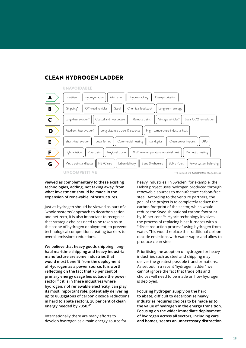

## CLEAN HYDROGEN LADDER

**viewed as complementary to these existing technologies, adding, not taking away, from what investment should be made in the expansion of renewable infrastructures.**

Just as hydrogen should be viewed as part of a 'whole systems' approach to decarbonisation and net-zero, it is also important to recognise that strategic choices need to be taken as to the scope of hydrogen deployment, to prevent technological competition creating barriers to overall emissions reductions.

**We believe that heavy goods shipping, longhaul maritime shipping and heavy industrial manufacture are some industries that would most benefit from the deployment of Hydrogen as a power source. It is worth reflecting on the fact that 75 per cent of primary energy usage lies outside the power sector**<sup>39</sup> **: it is in these industries where hydrogen, not renewable electricity, can play its most important role, potentially delivering up to 80 gigatons of carbon dioxide reductions in hard to abate sectors, 20 per cent of clean energy needed by 2050.**<sup>40</sup>

Internationally there are many efforts to develop hydrogen as a main energy source for heavy industries. In Sweden, for example, the Hybrit project uses hydrogen produced through renewable sources to manufacture carbon-free steel. According to the venture partners, the goal of the project is to completely reduce the carbon footprint of the sector, which would reduce the Swedish national carbon footprint by 10 per cent.<sup>41</sup> Hybrit technology involves the process of replacing blast furnaces with a "direct reduction process" using hydrogen from water. This would replace the traditional carbon dioxide emissions with water vapor and allow to produce clean steel.

Prioritising the adoption of hydrogen for heavy industries such as steel and shipping may deliver the greatest possible transformations. As set out in a recent 'hydrogen ladder', we cannot ignore the fact that trade offs and choices will need to be made on how hydrogen is deployed.

**Focusing hydrogen supply on the hard to abate, difficult to decarbonise heavy industries requires choices to be made as to the value of hydrogen in the energy transition. Focusing on the wider immediate deployment of hydrogen across all sectors, including cars and homes, seems an unnecessary distraction**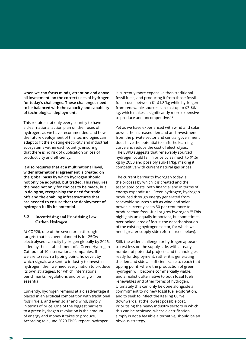**when we can focus minds, attention and above all investment, on the correct uses of hydrogen for today's challenges. These challenges need to be balanced with the capacity and capability of technological deployment.**

This requires not only every country to have a clear national action plan on their uses of hydrogen, as we have recommended, and how the future deployment of this technologies can adapt to fit the existing electricity and industrial ecosystems within each country, ensuring that there is no risk of duplication or loss of productivity and efficiency.

**It also requires that at a multinational level, wider international agreement is created on the global basis by which hydrogen should not only be adopted, but traded. This requires the need not only for choices to be made, but in doing so, recognising the need for trade offs and the enabling infrastructures that are needed to ensure that the deployment of hydrogen fulfils its potential.**

### **3.2 Incentivising and Prioritising Low Carbon Hydrogen**

At COP26, one of the seven breakthrough targets that has been planned is for 25Gw electrolysed capacity hydrogen globally by 2026, aided by the establishment of a Green Hydrogen Catapult of 10 international companies. If we are to reach a tipping point, however, by which signals are sent to industry to invest in hydrogen, then we need every nation to produce its own strategies, for which international benchmarks, regulations and pricing will be essential.

Currently, hydrogen remains at a disadvantage if placed in an artificial competition with traditional fossil fuels, and even solar and wind, simply in terms of price. One of the biggest barriers to a green hydrogen revolution is the amount of energy and money it takes to produce. According to a June 2020 EBRD report, hydrogen

is currently more expensive than traditional fossil fuels, and producing it from those fossil fuels costs between \$1-\$1.8/kg while hydrogen from renewable sources can cost up to \$3-\$6/ kg, which makes it significantly more expensive to produce and uncompetitive.<sup>42</sup>

Yet as we have experienced with wind and solar power, the increased demand and investment from the private sector and central government does have the potential to shift the learning curve and reduce the cost of electrolysis. The EBRD suggests that renewably sourced hydrogen could fall in price by as much to \$1.5/ kg by 2050 and possibly sub-\$1/kg, making it competitive with current natural gas prices.

The current barrier to hydrogen today is the process by which it is created and the associated costs, both financial and in terms of energy expenditure. Green hydrogen, hydrogen produced through energy generated from renewable sources such as wind and solar power, currently costs 50 per cent more to produce than fossil-fuel or grey hydrogen.<sup>43</sup> This highlights an equally important, but sometimes overlooked, area of focus: the decarbonisation of the existing hydrogen sector, for which we need greater supply side reforms (see below).

Still, the wider challenge for hydrogen appears to rest less on the supply side, with a ready number of potential projects and technologies ready for deployment; rather it is generating the demand side at sufficient scale to reach that tipping point, where the production of green hydrogen will become commercially viable, and a realistic alternative to both fossil fuels, renewables and other forms of hydrogen. Ultimately this can only be done alongside a commitment to no new fossil fuel exploration, and to seek to inflect the Keeling Curve downwards, at the lowest possible cost. Prioritising the heavy industry sectors in which this can be achieved, where electrification simply is not a feasible alternative, should be an obvious strategy.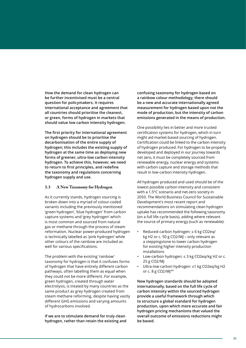**How the demand for clean hydrogen can be further incentivised must be a central question for policymakers. It requires international acceptance and agreement that all countries should prioritise the cleanest, or green, forms of hydrogen in markets that should value low carbon intensity hydrogen.**

**The first priority for international agreement on hydrogen should be to prioritise the decarbonisation of the entire supply of hydrogen; this includes the existing supply of hydrogen at the same time as deploying new forms of greener, ultra-low carbon intensity hydrogen. To achieve this, however, we need to return to first principles, and redefine the taxonomy and regulations concerning hydrogen supply and use.**

### **3.3 A New Taxonomy for Hydrogen**

As it currently stands, hydrogen sourcing is broken down into a myriad of colour-coded variants including the previously mentioned 'green hydrogen', 'blue hydrogen' from carbon capture systems and 'grey hydrogen' which is most common and sourced from natural gas or methane through the process of steam reformation. Nuclear power-produced hydrogen is technically labelled as 'pink hydrogen' while other colours of the rainbow are included as well for various specifications.

The problem with the existing 'rainbow' taxonomy for hydrogen is that it confuses forms of hydrogen that have entirely different carbon pathways, often labelling them as equal when they could not be more different. For example, green hydrogen, created through water electrolysis, is treated by many countries as the same product as grey hydrogen created from steam methane reforming, despite having vastly different GHG emissions and varying amounts of hydrocarbons involved.

**If we are to stimulate demand for truly clean hydrogen, rather than retain the existing and**  **confusing taxonomy for hydrogen based on a rainbow colour methodology, there should be a new and accurate internationally agreed measurement for hydrogen based upon not the mode of production, but the intensity of carbon emissions generated in the means of production.**

One possibility lies in better and more trusted certification systems for hydrogen, which in turn might aid market-based sourcing of hydrogen. Certification could be linked to the carbon intensity of hydrogen produced. For hydrogen to be properly developed and deployed in our journey towards net zero, it must be completely sourced from renewable energy, nuclear energy and systems with carbon capture and storage methods that result in low-carbon intensity hydrogen.

All hydrogen produced and used should be of the lowest possible carbon intensity and consistent with a 1.5°C scenario and net-zero society in 2050. The World Business Council for Sustainable Development's most recent report and recommendations on stimulating clean hydrogen uptake has recommended the following taxonomy (on a full life-cycle basis), adding where relevant the source of primary energy (such as renewable):

- Reduced-carbon hydrogen: ≤ 6 kg CO2eq/ kg H2 or c. 50 g CO2/MJ – only relevant as a steppingstone to lower carbon hydrogen for existing higher intensity production installations
- Low-carbon hydrogen: ≤ 3 kg CO2eq/kg H2 or c. 25 g CO2/MJ
- Ultra-low carbon hydrogen: ≤1 kg CO2eq/kg H2 or c. 8 g CO2/MJ<sup>44</sup>

**New hydrogen standards should be adopted internationally, based on the full life cycle of carbon intensity within the sourced hydrogen provide a useful framework through which to structure a global standard for hydrogen production, upon which more accurate and fair hydrogen pricing mechanisms that valued the overall outcome of emissions reductions might be based.**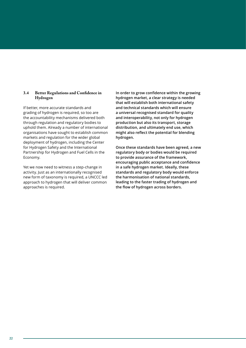### **3.4 Better Regulations and Confidence in Hydrogen**

If better, more accurate standards and grading of hydrogen is required, so too are the accountability mechanisms delivered both through regulation and regulatory bodies to uphold them. Already a number of international organisations have sought to establish common markets and regulation for the wider global deployment of hydrogen, including the Center for Hydrogen Safety and the International Partnership for Hydrogen and Fuel Cells in the Economy.

Yet we now need to witness a step-change in activity. Just as an internationally recognised new form of taxonomy is required, a UNCCC led approach to hydrogen that will deliver common approaches is required.

**In order to grow confidence within the growing hydrogen market, a clear strategy is needed that will establish both international safety and technical standards which will ensure a universal recognised standard for quality and interoperability, not only for hydrogen production but also its transport, storage distribution, and ultimately end use, which might also reflect the potential for blending hydrogen.**

**Once these standards have been agreed, a new regulatory body or bodies would be required to provide assurance of the framework, encouraging public acceptance and confidence in a safe hydrogen market. Ideally, these standards and regulatory body would enforce the harmonisation of national standards, leading to the faster trading of hydrogen and the flow of hydrogen across borders.**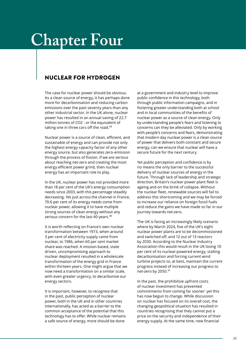## **Chapter Four**

## NUCLEAR FOR HYDROGEN

The case for nuclear power should be obvious. As a clean source of energy, it has perhaps done more for decarbonisation and reducing carbon emissions over the past seventy years than any other industrial sector. In the UK alone, nuclear power has resulted in an annual saving of 22.7 million tonnes of CO2 - or the equivalent of taking one in three cars off the road.<sup>45</sup>

Nuclear power is a source of clean, efficient, and sustainable of energy and can provide not only the highest energy capacity factor of any other energy source, but also generates zero-emission through the process of fission. If we are serious about reaching net-zero and creating the most energy efficient power grind, then nuclear energy has an important role to play.

In the UK, nuclear power has not provided more than 18 per cent of the UK's energy consumption needs since 2003, with this percentage steadily decreasing. Yet just across the channel in France, 70.6 per cent of its energy needs come from nuclear power, allowing it to have multiple strong sources of clean energy without any serious concern for the last 40 years.<sup>46</sup>

It is worth reflecting on France's own nuclear transformation between 1973, when around 3 per cent of electricity supply came from nuclear, to 1986, when 60 per cent market share was reached. A mission based, state driven, uncompromising approach to nuclear deployment resulted in a wholescale transformation of the energy grid in France within thirteen years. One might argue that we now need a transformation on a similar scale, with even greater urgency, to decarbonise our energy sectors.

It is important, however, to recognise that in the past, public perception of nuclear power, both in the UK and in other countries internationally, has acted as a barrier to the common acceptance of the potential that this technology has to offer. While nuclear remains a safe source of energy, more should be done

at a government and industry level to improve public confidence in this technology, both through public information campaigns, and in fostering greater understanding both at school and in local communities of the benefits of nuclear power as a source of clean energy. Only by understanding people's fears and listening to concerns can they be alleviated. Only by working with people's concerns and fears, demonstrating that modern day nuclear power is a clean source of power that delivers both constant and secure energy, can we ensure that nuclear will have a secure future for the next century.

Yet public perception and confidence is by no means the only barrier to the successful delivery of nuclear sources of energy in the future. Through lack of leadership and strategic direction, Britain's nuclear power plant fleet is ageing and on the brink of collapse. Without the nuclear fleet, renewable sources will fail to address this shortcoming and we may be forced to increase our reliance on foreign fossil fuels and reduce the gains we have made so far in our journey towards net-zero.

The UK is facing an increasingly likely scenario where by March 2024, five of the UK's eight nuclear power plants are to be decommissioned and switched off, and 12 out of 13 reactors by 2030. According to the Nuclear Industry Association this would result in the UK losing 10 per cent of its nuclear-powered energy, stalling decarbonisation and forcing current wind turbine projects to, at best, maintain the current progress instead of increasing our progress to net-zero by 2050.<sup>47</sup>

In the past, the prohibitive upfront costs of nuclear investment has prevented commitments from coming far sooner: yet this has now begun to change. While discussion on nuclear has focused on its overall cost, the changing geopolitical situation has resulted in countries recognising that they cannot put a price on the security and independence of their energy supply. At the same time, new financial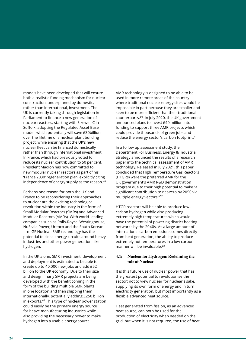models have been developed that will ensure both a realistic funding mechanism for nuclear construction, underpinned by domestic, rather than international, investment. The UK is currently taking through legislation in Parliament to finance a new generation of nuclear reactors, starting with Sizewell C in Suffolk, adopting the Regulated Asset Base model, which potentially will save £30billion over the lifetime of a nuclear plant building project, while ensuring that the UK's new nuclear fleet can be financed domestically rather than through international investment. In France, which had previously voted to reduce its nuclear contribution to 50 per cent, President Macron has now committed to new modular nuclear reactors as part of his 'France 2030' regeneration plan, explicitly citing independence of energy supply as the reason.<sup>48</sup>

Perhaps one reason for both the UK and France to be reconsidering their approaches to nuclear are the exciting technological revolution within the industry in the form of Small Modular Reactors (SMRs) and Advanced Modular Reactors (AMRs). With world-leading companies such as Rolls-Royce, Westinghouse, NuScale Power, Urenco and the South Korean firm GF Nuclear, SMR technology has the potential to close energy circuits around heavy industries and other power generation, like hydrogen.

In the UK alone, SMR investment, development and deployment is estimated to be able to create up to 40,000 new jobs and add £52 billion to the UK economy. Due to their size and design, many SMR projects are being developed with the benefit coming in the form of the building multiple SMR plants in one location and then shipping them internationally, potentially adding £250 billion in exports.<sup>49</sup> This type of nuclear power station could easily be the primary energy source for heave manufacturing industries while also providing the necessary power to make hydrogen into a usable energy source.

AMR technology is designed to be able to be used in more remote areas of the country where traditional nuclear energy sites would be impossible in part because they are smaller and seen to be more efficient that their traditional counterparts.<sup>50</sup> In July 2020, the UK government announced plans to invest £40 million into funding to support three AMR projects which could provide thousands of green jobs and reduce the energy sector's carbon footprint.<sup>51</sup>

In a follow up assessment study, the Department For Business, Energy & Industrial Strategy announced the results of a research paper into the technical assessment of AMR technology. Released in July 2021, this paper concluded that High Temperature Gas Reactors (HTGRs) were the preferred AMR for the UK government's AMR R&D demonstration program due to their high potential to make "a significant contribution to net-zero by 2050 via multiple energy vectors."<sup>52</sup>

HTGR reactors will be able to produce lowcarbon hydrogen while also producing extremely high temperatures which would have the potential of powering district heating networks by the 2040s. As a large amount of international carbon emissions comes directly from heat generation, the ability to produce extremely hot temperatures in a low carbon manner will be invaluable.<sup>53</sup>

#### **4.1: Nuclear for Hydrogen: Redefining the role of Nuclear**

It is this future use of nuclear power that has the greatest potential to revolutionise the sector: not to view nuclear for nuclear's sake, supplying its own form of energy and in turn electricity generation, but most importantly as a flexible advanced heat source.

Heat generated from fission, as an advanced heat source, can both be used for the production of electricity when needed on the grid, but when it is not required, the use of heat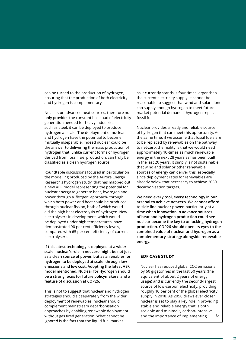can be turned to the production of hydrogen, ensuring that the production of both electricity and hydrogen is complementary.

Nuclear, or advanced heat sources, therefore not only provides the constant baseload of electricity generation needed for heavy industries such as steel, it can be deployed to produce hydrogen at scale. The deployment of nuclear and hydrogen have the potential to become mutually inseparable. Indeed nuclear could be the answer to delivering the mass production of hydrogen that, unlike current forms of hydrogen derived from fossil fuel production, can truly be classified as a clean hydrogen source.

Roundtable discussions focused in particular on the modelling produced by the Aurora Energy Research's hydrogen study, that has mapped out a new AER model representing the potential for nuclear energy to generate heat, hydrogen and power through a 'flexgen' approach- through which both power and heat could be produced through nuclear fission, both of which would aid the high heat electrolysis of hydrogen. New electrolysers in development, which would be deployed under high temperatures, have demonstrated 90 per cent efficiency levels, compared with 65 per cent efficiency of current electrolysers.

**If this latest technology is deployed at a wider scale, nuclear's role in net-zero might be not just as a clean source of power, but as an enabler for hydrogen to be deployed at scale, through low emissions and low cost. Adopting the latest AER model mentioned, Nuclear for Hydrogen should be a strong focus for future policymakers, and a feature of discussion at COP26.**

This is not to suggest that nuclear and hydrogen strategies should sit separately from the wider deployment of renewables; nuclear should complement mainstream decarbonisation approaches by enabling renewable deployment without gas fired generation. What cannot be ignored is the fact that the liquid fuel market

as it currently stands is four times larger than the current electricity supply. It cannot be reasonable to suggest that wind and solar alone can supply enough hydrogen to meet future market potential demand if hydrogen replaces fossil fuels.

Nuclear provides a ready and reliable source of hydrogen that can meet this opportunity. At the same time, if we assume that fossil fuels are to be replaced by renewables on the pathway to net-zero, the reality is that we would need approximately 10-times as much renewable energy in the next 28 years as has been built in the last 20 years. It simply is not sustainable that wind and solar or other renewable sources of energy can deliver this, especially since deployment rates for renewables are already below that necessary to achieve 2050 decarbonisation targets.

**We need every tool, every technology in our arsenal to achieve net-zero. We cannot afford to side line nuclear power, particularly at a time when innovation in advance sources of heat and hydrogen production could see nuclear become the key to unlocking hydrogen production. COP26 should open its eyes to the combined value of nuclear and hydrogen as a complementary strategy alongside renewable energy.**

## EDF CASE STUDY

Nuclear has reduced global CO2 emissions by 60 gigatonnes in the last 50 years (the equivalent of about 2 years of energy usage) and is currently the second-largest source of low-carbon electricity, providing roughly 10 per cent of the global electricity supply in 2018. As 2050 draws ever closer nuclear is set to play a key role in providing stable and reliable energy that is both scalable and minimally carbon-intensive, and the importance of implementing  $\mathcal{D}$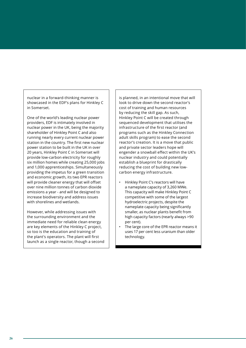nuclear in a forward-thinking manner is showcased in the EDF's plans for Hinkley C in Somerset.

One of the world's leading nuclear power providers, EDF is intimately involved in nuclear power in the UK, being the majority shareholder of Hinkley Point C and also running nearly every current nuclear power station in the country. The first new nuclear power station to be built in the UK in over 20 years, Hinkley Point C in Somerset will provide low-carbon electricity for roughly six million homes while creating 25,000 jobs and 1,000 apprenticeships. Simultaneously providing the impetus for a green transition and economic growth, its two EPR reactors will provide cleaner energy that will offset over nine million tonnes of carbon dioxide emissions a year - and will be designed to increase biodiversity and address issues with shorelines and wetlands.

However, while addressing issues with the surrounding environment and the immediate need for reliable clean energy are key elements of the Hinkley C project, so too is the education and training of the plant's operators. The plant will first launch as a single reactor, though a second is planned, in an intentional move that will look to drive down the second reactor's cost of training and human resources by reducing the skill gap. As such, Hinkley Point C will be created through sequenced development that utilises the infrastructure of the first reactor (and programs such as the Hinkley Connection adult skills program) to ease the second reactor's creation. It is a move that public and private sector leaders hope will engender a snowball effect within the UK's nuclear industry and could potentially establish a blueprint for drastically reducing the cost of building new lowcarbon energy infrastructure.

- Hinkley Point C's reactors will have a nameplate capacity of 3,260 MWe. This capacity will make Hinkley Point C competitive with some of the largest hydroelectric projects, despite the nameplate capacity being significantly smaller, as nuclear plants benefit from high capacity factors (nearly always >90 per cent).
- The large core of the EPR reactor means it uses 17 per cent less uranium than older technology.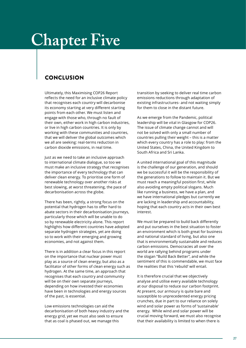## **Chapter Five**

## **CONCLUSION**

Ultimately, this Maximising COP26 Report reflects the need for an inclusive climate policy that recognises each country will decarbonise its economy starting at very different starting points from each other. We must listen and engage with those who, through no fault of their own, either work in high carbon industries, or live in high carbon countries. It is only by working with these communities and countries, that we will deliver the global outcomes which we all are seeking: real-terms reduction in carbon dioxide emissions, in real time.

Just as we need to take an inclusive approach to international climate dialogue, so too we must make an inclusive strategy that recognises the importance of every technology that can deliver clean energy. To prioritise one form of renewable technology over another risks at best slowing, at worst threatening, the pace of decarbonisation across the globe.

There has been, rightly, a strong focus on the potential that hydrogen has to offer hard to abate sectors in their decarbonisation journeys, particularly those which will be unable to do so by renewable electricity alone. This report highlights how different countries have adopted separate hydrogen strategies, yet are doing so to work with their emerging and growing economies, and not against them.

There is in addition a clear focus in this report on the importance that nuclear power must play as a source of clean energy, but also as a facilitator of other forms of clean energy such as hydrogen. At the same time, an approach that recognises that each country and community will be on their own separate journeys, depending on how invested their economies have been in technologies and energy sources of the past, is essential.

Low emissions technologies can aid the decarbonisation of both heavy industry and the energy grid, yet we must also seek to ensure that as coal is phased out, we manage this

transition by seeking to deliver real time carbon emissions reductions through adaptation of existing infrastructures- and not waiting simply for them to close in the distant future.

As we emerge from the Pandemic, political leadership will be vital in Glasgow for COP26. The issue of climate change cannot and will not be solved with only a small number of countries pulling their weight – this is a matter which every country has a role to play: from the United States, China, the United Kingdom to South Africa and Sri Lanka.

A united international goal of this magnitude is the challenge of our generation, and should we be successful it will be the responsibility of the generations to follow to maintain it. But we must reach a meaningful position first, while also avoiding empty political slogans. Much like running a business, we have a plan, and we have international pledges but currently we are lacking in leadership and accountability, hoping that each country acts in their own best interest.

We must be prepared to build back differently and put ourselves in the best situation to foster an environment which is both great for business and national standard of living, but also one that is environmentally sustainable and reduces carbon emissions. Democracies all over the world are rallying behind programs under the slogan "Build Back Better", and while the sentiment of this is commendable, we must face the realities that this 'rebuild' will entail.

It is therefore crucial that we objectively analyse and utilise every available technology at our disposal to reduce our carbon footprint. At present, our armoury is quite bare and susceptible to unprecedented energy pricing crunches, due in part to our reliance on solely wind and solar power as forms of 'sustainable' energy. While wind and solar power will be crucial moving forward, we must also recognise that their availability is limited to when there is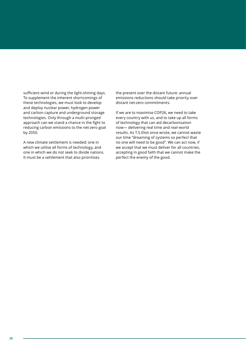sufficient wind or during the light-shining days. To supplement the inherent shortcomings of these technologies, we must look to develop and deploy nuclear power, hydrogen power and carbon capture and underground storage technologies. Only through a multi-pronged approach can we stand a chance in the fight to reducing carbon emissions to the net-zero goal by 2050.

A new climate settlement is needed: one in which we utilise all forms of technology, and one in which we do not seek to divide nations. It must be a settlement that also prioritises

the present over the distant future: annual emissions reductions should take priority over distant net-zero commitments.

If we are to maximise COP26, we need to take every country with us, and to take up all forms of technology that can aid decarbonisation now— delivering real time and real-world results. As T.S.Eliot once wrote, we cannot waste our time "dreaming of systems so perfect that no one will need to be good". We can act now, if we accept that we must deliver for all countries, accepting in good faith that we cannot make the perfect the enemy of the good.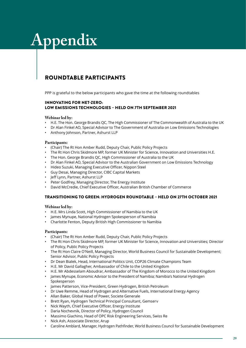# **Appendix**

## ROUNDTABLE PARTICIPANTS

PPP is grateful to the below participants who gave the time at the following roundtables

### INNOVATING FOR NET-ZERO: LOW EMISSIONS TECHNOLOGIES – HELD ON 7TH SEPTEMBER 2021

#### **Webinar led by:**

- H.E. The Hon. George Brandis QC, The High Commissioner of The Commonwealth of Australia to the UK
- Dr Alan Finkel AO, Special Advisor to The Government of Australia on Low Emissions Technologies
- Anthony Johnson, Partner, Ashurst LLP

#### **Participants:**

- (Chair) The Rt Hon Amber Rudd, Deputy Chair, Public Policy Projects
- The Rt Hon Chris Skidmore MP, former UK Minister for Science, Innovation and Universities H.E.
- The Hon. George Brandis QC, High Commissioner of Australia to the UK
- Dr Alan Finkel AO, Special Advisor to the Australian Government on Low Emissions Technology
- Hideo Suzuki, Managing Executive Officer, Nippon Steel
- Guy Desai, Managing Director, CIBC Capital Markets
- Jeff Lynn, Partner, Ashurst LLP
- Peter Godfrey, Managing Director, The Energy Institute
- David McCredie, Chief Executive Officer, Australian British Chamber of Commerce

## TRANSITIONING TO GREEN: HYDROGEN ROUNDTABLE – HELD ON 27TH OCTOBER 2021

#### **Webinar led by:**

- H.E. Mrs Linda Scott, High Commissioner of Namibia to the UK
- James Mynupe, National Hydrogen Spokesperson of Namibia
- Charlotte Fenton, Deputy British High Commissioner to Namibia

#### **Participants:**

- (Chair) The Rt Hon Amber Rudd, Deputy Chair, Public Policy Projects
- The Rt Hon Chris Skidmore MP, former UK Minister for Science, Innovation and Universities; Director of Policy, Public Policy Projects
- The Rt Hon Claire O'Neill, Managing Director, World Business Council for Sustainable Development; Senior Advisor, Public Policy Projects
- Dr Dean Bialek, Head, International Politics Unit, COP26 Climate Champions Team
- H.E. Mr David Gallagher, Ambassador of Chile to the United Kingdom
- H.E. Mr Abdesselam Aboudrar, Ambassador of The Kingdom of Morocco to the United Kingdom
- James Mynupe, Economic Advisor to the President of Namibia; Namibia's National Hydrogen Spokesperson
- James Patterson, Vice-President, Green Hydrogen, British Petroleum
- Dr Uwe Remme, Head of Hydrogen and Alternative Fuels, International Energy Agency
- Allan Baker, Global Head of Power, Societe Generale
- Brett Ryan, Hydrogen Technical Principal Consultant, Gemserv
- Nick Wayth, Chief Executive Officer, Energy Institute
- Daria Nochevnik, Director of Policy, Hydrogen Council
- Massimo Giachino, Head of OPC Risk Engineering Services, Swiss Re
- Nick Ash, Associate Director, Arup
- Caroline Amblard, Manager, Hydrogen Pathfinder, World Business Council for Sustainable Development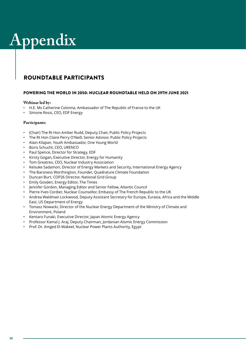# **Appendix**

## ROUNDTABLE PARTICIPANTS

### POWERING THE WORLD IN 2050: NUCLEAR ROUNDTABLE HELD ON 29TH JUNE 2021

### **Webinar led by:**

- H.E. Ms Catherine Colonna, Ambassador of The Republic of France to the UK
- Simone Rossi, CEO, EDF Energy

### **Participants:**

- (Chair) The Rt Hon Amber Rudd, Deputy Chair, Public Policy Projects
- The Rt Hon Claire Perry O'Neill, Senior Advisor, Public Policy Projects
- Alain Kilajian, Youth Ambassador, One Young World
- Boris Schucht, CEO, URENCO
- Paul Spence, Director for Strategy, EDF
- Kirsty Gogan, Executive Director, Energy for Humanity
- Tom Greatrex, CEO, Nuclear Industry Association
- Keisuke Sadamori, Director of Energy Markets and Security, International Energy Agency
- The Baroness Worthington, Founder, Quadrature Climate Foundation
- Duncan Burt, COP26 Director, National Grid Group
- Emily Gosden, Energy Editor, The Times
- Jennifer Gordon, Managing Editor and Senior Fellow, Atlantic Council
- Pierre-Yves Cordier, Nuclear Counsellor, Embassy of The French Republic to the UK
- Andrea Waldman Lockwood, Deputy Assistant Secretary for Europe, Eurasia, Africa and the Middle East, US Department of Energy
- Tomasz Nowacki, Director of the Nuclear Energy Department of the Ministry of Climate and Environment, Poland
- Kentaro Funaki, Executive Director, Japan Atomic Energy Agency
- Professor Kamal J. Araj, Deputy Chairman, Jordanian Atomic Energy Commission
- Prof. Dr. Amged El-Wakeel, Nuclear Power Plants Authority, Egypt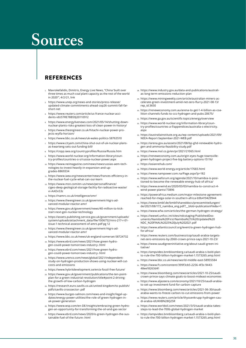## **Sources**

## REFERENCES

- 1. Mavrokefalidis, Dimitris, Energy Live News, "China 'built over three times as much coal plant capacity as the rest of the world in 2020'", 4/2/21, link
- https://www.unep.org/news-and-stories/press-release/ updated-climate-commitments-ahead-cop26-summit-fall-farshort-net
- 3. https://www.reuters.com/article/us-france-nuclear-accidents-idUSTRE78B59J20110912
- 4. https://www.energylivenews.com/2021/05/14/shutting-downnuclear-plants-risks-greatest-loss-of-clean-power-in-history/
- 5. https://www.theengineer.co.uk/hitachi-nuclear-power-projects-wylfa-horizon/
- 6. https://www.bbc.co.uk/news/uk-wales-politics-58763510
- 7. https://www.cityam.com/china-shut-out-of-uk-nuclear-plansas-kwarteng-sets-out-funding-bill/
- 8. https://cnpp.iaea.org/countryprofiles/Russia/Russia.htm
- 9. https://www.world-nuclear.org/information-library/country-profiles/countries-o-s/russia-nuclear-power.aspx
- 10. https://www.neimagazine.com/news/newsrussias-aem-technologies-to-invest-heavily-in-expansion-and-upgrades-8869334
- 11. https://www.iaea.org/newscenter/news/frances-efficiency-inthe-nuclear-fuel-cycle-what-can-oui-learn
- 12. https://www.msn.com/en-us/news/personalfinance/ cigeo-deep-geological-storage-facility-for-radioactive-waste/ vi-AAOvS3z
- 13. https://namrc.co.uk/intelligence/smr/
- 14. https://www.theengineer.co.uk/government-htgrs-advanced-modular-reactor-amr/
- 15. https://www.gov.uk/government/news/40-million-to-kickstart-next-gen-nuclear-technology
- 16. https://assets.publishing.service.gov.uk/government/uploads/ system/uploads/attachment\_data/file/1006752/niro-217-r-01 issue-1-technical-assessment-of-amrs.pdf pg 12
- 17. https://www.theengineer.co.uk/government-htgrs-advanced-modular-reactor-amr/
- 18. https://www.bbc.co.uk/news/uk-england-somerset-58724732
- 19. https://www.ebrd.com/news/2021/how-green-hydrogen-could-power-tomorrows-industry-.html
- 20. https://www.ebrd.com/news/2021/how-green-hydrogen-could-power-tomorrows-industry-.html
- 21. https://www.urenco.com/news/global/2021/independentstudy-on-hydrogen-production-shows-using-nuclear-will-cutcosts-and-emissions
- 22. https://www.hybritdevelopment.se/en/a-fossil-free-future/
- 23. https://www.gov.uk/government/publications/the-ten-pointplan-for-a-green-industrial-revolution/title#point-2-drivingthe-growth-of-low-carbon-hydrogen
- 24. https://research.euro.savills.co.uk/united-kingdom/to-publish/ pdfs/savills-crosssector-.pdf
- 25. https://www.burges-salmon.com/news-and-insight/legal-updates/energy-power-utilities/the-role-of-green-hydrogen-inuk-power-generation
- 26. https://www.wsp.com/en-DE/insights/embracing-green-hydrogen-an-opportunity-for-transforming-the-oil-and-gas-sector
- 27. https://www.ebrd.com/news/2020/is-green-hydrogen-the-sustainable-fuel-of-the-future-.html
- 28. https://www.industry.gov.au/data-and-publications/australias-long-term-emissions-reduction-plan
- 29. https://www.miningweekly.com/article/australian-miners-accelerate-green-investment-amid-net-zero-flurry-2021-08-13/ rep\_id:3650
- 30. https://reneweconomy.com.au/arena-to-get-1-4-billion-as-coalition-channels-funds-to-ccs-hydrogen-and-pubs-20675/
- 31. https://www.ga.gov.au/scientific-topics/energy/overview
- 32. https://www.world-nuclear.org/information-library/country-profiles/countries-a-f/appendices/australia-s-electricity. aspx
- 33. https://australiainstitute.org.au/wp-content/uploads/2021/09/ NEEA-Report-September-2021-WEB.pdf
- 34. https://arena.gov.au/assets/2021/08/bp-ghd-renewable-hydrogen-and-ammonia-feasibility-study.pdf
- 35. https://www.mol.co.jp/en/pr/2021/21065.html
- 36. https://reneweconomy.com.au/origin-eyes-huge-townsvillegreen-hydrogen-project-five-big-battery-options-15116/
- 37. https://asianrehub.com/
- 38. https://www.world-energy.org/article/17683.html
- 39. https://www.nampower.com.na/Page.aspx?p=182
- 40. https://www.weforum.org/agenda/2021/10/namibia-is-positioned-to-become-the-renewable-energy-hub-of-africa/
- 41. https://www.evwind.es/2020/03/03/namibia-to-construct-4 wind-power-plants/73896
- 42. https://powerafrica.medium.com/major-milestone-agreementreached-for-mega-solar-in-southern-africa-b9b419429944
- 43. https://www.bmbf.de/bmbf/shareddocs/pressemitteilungen/ de/2021/08/172\_namibia\_eng.pdf?\_\_blob=publicationFile&v=1
- 44. https://www.wfw.com/articles/the-german-hydrogen-strategy/
- 45. https://www4.unfccc.int/sites/ndcstaging/PublishedDocuments/Namibia%20First/Namibia%27s%20Updated%20 NDC\_%20FINAL%2025%20July%202021.pdf
- 46. https://www.atlanticcouncil.org/event/a-green-hydrogen-hubfor-africa/
- 47. https://www.reuters.com/business/cop/saudi-arabia-targetsnet-zero-emissions-by-2060-crown-prince-says-2021-10-23/
- 48. https://www.saudigreeninitiative.org/about-saudi-green-initiative/
- 49. https://ampvideo.bnnbloomberg.ca/saudi-arabia-s-bold-planto-rule-the-700-billion-hydrogen-market-1.1573265.amp.html
- 50. https://www.bbc.co.uk/news/world-middle-east-58955584 51. https://www.ft.com/content/399f3cb5-2256-4f3c-9443-
- 48ee18263d41 52. https://www.bloomberg.com/news/articles/2021-10-25/saudi-
- crown-prince-says-climate-goals-to-boost-mideast-economies
- 53. https://www.aljazeera.com/economy/2021/10/25/saudi-arabiato-set-up-investment-fund-for-carbon-capture
- 54. https://www.bloomberg.com/news/articles/2021-06-30/saudiarabia-wants-to-freeze-carbon-to-cut-emissions-from-power
- 55. https://www.reuters.com/article/thyssenkrupp-hydrogen-saudi-arabia-idUKKBN28Q25R
- 56. https://www.worldoil.com/news/2021/3/5/saudi-arabia-takessteps-to-lead-the-700b-global-hydrogen-market
- 57. https://ampvideo.bnnbloomberg.ca/saudi-arabia-s-bold-planto-rule-the-700-billion-hydrogen-market-1.1573265.amp.html